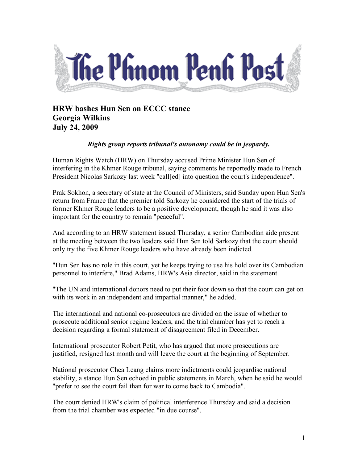

**HRW bashes Hun Sen on ECCC stance Georgia Wilkins July 24, 2009**

## *Rights group reports tribunal's autonomy could be in jeopardy.*

Human Rights Watch (HRW) on Thursday accused Prime Minister Hun Sen of interfering in the Khmer Rouge tribunal, saying comments he reportedly made to French President Nicolas Sarkozy last week "call[ed] into question the court's independence".

Prak Sokhon, a secretary of state at the Council of Ministers, said Sunday upon Hun Sen's return from France that the premier told Sarkozy he considered the start of the trials of former Khmer Rouge leaders to be a positive development, though he said it was also important for the country to remain "peaceful".

And according to an HRW statement issued Thursday, a senior Cambodian aide present at the meeting between the two leaders said Hun Sen told Sarkozy that the court should only try the five Khmer Rouge leaders who have already been indicted.

"Hun Sen has no role in this court, yet he keeps trying to use his hold over its Cambodian personnel to interfere," Brad Adams, HRW's Asia director, said in the statement.

"The UN and international donors need to put their foot down so that the court can get on with its work in an independent and impartial manner," he added.

The international and national co-prosecutors are divided on the issue of whether to prosecute additional senior regime leaders, and the trial chamber has yet to reach a decision regarding a formal statement of disagreement filed in December.

International prosecutor Robert Petit, who has argued that more prosecutions are justified, resigned last month and will leave the court at the beginning of September.

National prosecutor Chea Leang claims more indictments could jeopardise national stability, a stance Hun Sen echoed in public statements in March, when he said he would "prefer to see the court fail than for war to come back to Cambodia".

The court denied HRW's claim of political interference Thursday and said a decision from the trial chamber was expected "in due course".